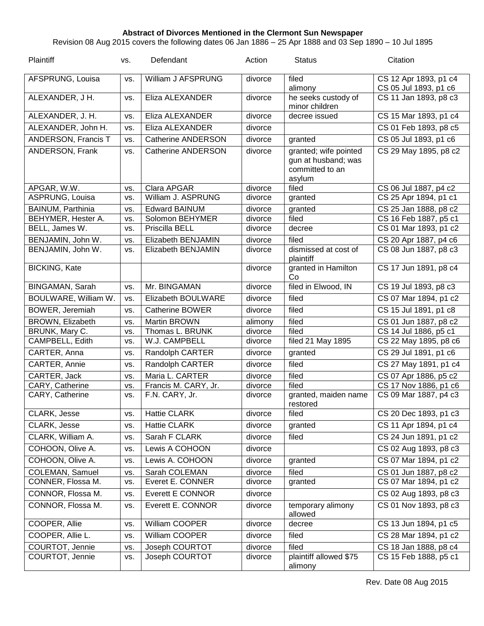## **Abstract of Divorces Mentioned in the Clermont Sun Newspaper**

Revision 08 Aug 2015 covers the following dates 06 Jan 1886 – 25 Apr 1888 and 03 Sep 1890 – 10 Jul 1895

| Plaintiff            | VS.        | Defendant                 | Action  | <b>Status</b>                     | Citation              |
|----------------------|------------|---------------------------|---------|-----------------------------------|-----------------------|
| AFSPRUNG, Louisa     | VS.        | William J AFSPRUNG        | divorce | filed                             | CS 12 Apr 1893, p1 c4 |
|                      |            |                           |         | alimony                           | CS 05 Jul 1893, p1 c6 |
| ALEXANDER, J H.      | VS.        | Eliza ALEXANDER           | divorce | he seeks custody of               | CS 11 Jan 1893, p8 c3 |
|                      |            |                           |         | minor children                    |                       |
| ALEXANDER, J. H.     | VS.        | Eliza ALEXANDER           | divorce | decree issued                     | CS 15 Mar 1893, p1 c4 |
| ALEXANDER, John H.   | VS.        | Eliza ALEXANDER           | divorce |                                   | CS 01 Feb 1893, p8 c5 |
| ANDERSON, Francis T  | VS.        | <b>Catherine ANDERSON</b> | divorce | granted                           | CS 05 Jul 1893, p1 c6 |
| ANDERSON, Frank      | VS.        | <b>Catherine ANDERSON</b> | divorce | granted; wife pointed             | CS 29 May 1895, p8 c2 |
|                      |            |                           |         | gun at husband; was               |                       |
|                      |            |                           |         | committed to an                   |                       |
| APGAR, W.W.          |            | Clara APGAR               | divorce | asylum<br>filed                   | CS 06 Jul 1887, p4 c2 |
| ASPRUNG, Louisa      | VS.<br>VS. | William J. ASPRUNG        | divorce | granted                           | CS 25 Apr 1894, p1 c1 |
| BAINUM, Parthinia    |            | <b>Edward BAINUM</b>      | divorce |                                   | CS 25 Jan 1888, p8 c2 |
| BEHYMER, Hester A.   | VS.<br>VS. | Solomon BEHYMER           | divorce | granted<br>filed                  | CS 16 Feb 1887, p5 c1 |
| BELL, James W.       | VS.        | Priscilla BELL            | divorce | decree                            | CS 01 Mar 1893, p1 c2 |
| BENJAMIN, John W.    | VS.        | Elizabeth BENJAMIN        | divorce | filed                             | CS 20 Apr 1887, p4 c6 |
| BENJAMIN, John W.    | VS.        | Elizabeth BENJAMIN        | divorce | dismissed at cost of              | CS 08 Jun 1887, p8 c3 |
|                      |            |                           |         | plaintiff                         |                       |
| <b>BICKING, Kate</b> |            |                           | divorce | granted in Hamilton               | CS 17 Jun 1891, p8 c4 |
| BINGAMAN, Sarah      | VS.        | Mr. BINGAMAN              | divorce | Co<br>filed in Elwood, IN         | CS 19 Jul 1893, p8 c3 |
|                      |            |                           |         |                                   |                       |
| BOULWARE, William W. | VS.        | Elizabeth BOULWARE        | divorce | filed                             | CS 07 Mar 1894, p1 c2 |
| BOWER, Jeremiah      | VS.        | <b>Catherine BOWER</b>    | divorce | filed                             | CS 15 Jul 1891, p1 c8 |
| BROWN, Elizabeth     | VS.        | Martin BROWN              | alimony | filed                             | CS 01 Jun 1887, p8 c2 |
| BRUNK, Mary C.       | VS.        | Thomas L. BRUNK           | divorce | filed                             | CS 14 Jul 1886, p5 c1 |
| CAMPBELL, Edith      | VS.        | W.J. CAMPBELL             | divorce | filed 21 May 1895                 | CS 22 May 1895, p8 c6 |
| CARTER, Anna         | VS.        | Randolph CARTER           | divorce | granted                           | CS 29 Jul 1891, p1 c6 |
| CARTER, Annie        | VS.        | Randolph CARTER           | divorce | filed                             | CS 27 May 1891, p1 c4 |
| CARTER, Jack         | VS.        | Maria L. CARTER           | divorce | filed                             | CS 07 Apr 1886, p5 c2 |
| CARY, Catherine      | VS.        | Francis M. CARY, Jr.      | divorce | filed                             | CS 17 Nov 1886, p1 c6 |
| CARY, Catherine      | VS.        | F.N. CARY, Jr.            | divorce | granted, maiden name<br>restored  | CS 09 Mar 1887, p4 c3 |
| <b>CLARK, Jesse</b>  | VS.        | <b>Hattie CLARK</b>       | divorce | filed                             | CS 20 Dec 1893, p1 c3 |
| <b>CLARK, Jesse</b>  | VS.        | <b>Hattie CLARK</b>       | divorce | granted                           | CS 11 Apr 1894, p1 c4 |
| CLARK, William A.    | VS.        | Sarah F CLARK             | divorce | filed                             | CS 24 Jun 1891, p1 c2 |
| COHOON, Olive A.     | VS.        | Lewis A COHOON            | divorce |                                   | CS 02 Aug 1893, p8 c3 |
| COHOON, Olive A.     | VS.        | Lewis A. COHOON           | divorce | granted                           | CS 07 Mar 1894, p1 c2 |
| COLEMAN, Samuel      | VS.        | Sarah COLEMAN             | divorce | filed                             | CS 01 Jun 1887, p8 c2 |
| CONNER, Flossa M.    | VS.        | Everet E. CONNER          | divorce | granted                           | CS 07 Mar 1894, p1 c2 |
| CONNOR, Flossa M.    | VS.        | <b>Everett E CONNOR</b>   | divorce |                                   | CS 02 Aug 1893, p8 c3 |
| CONNOR, Flossa M.    | VS.        | Everett E. CONNOR         | divorce | temporary alimony                 | CS 01 Nov 1893, p8 c3 |
|                      |            |                           |         | allowed                           |                       |
| COOPER, Allie        | VS.        | William COOPER            | divorce | decree                            | CS 13 Jun 1894, p1 c5 |
| COOPER, Allie L.     | VS.        | William COOPER            | divorce | filed                             | CS 28 Mar 1894, p1 c2 |
| COURTOT, Jennie      | VS.        | Joseph COURTOT            | divorce | filed                             | CS 18 Jan 1888, p8 c4 |
| COURTOT, Jennie      | VS.        | Joseph COURTOT            | divorce | plaintiff allowed \$75<br>alimony | CS 15 Feb 1888, p5 c1 |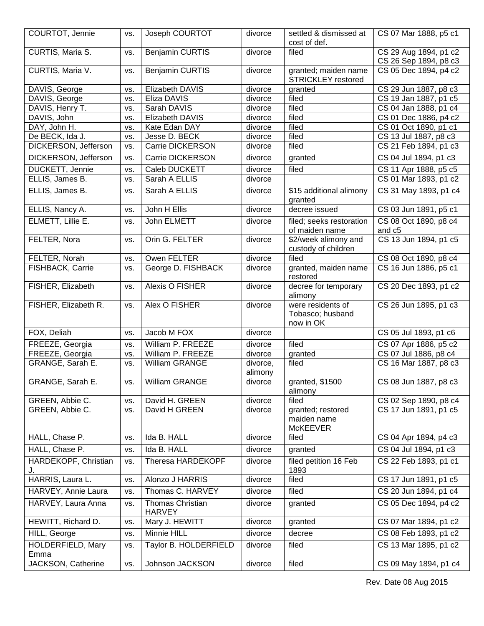| COURTOT, Jennie                   | VS.        | Joseph COURTOT                              | divorce            | settled & dismissed at<br>cost of def.              | CS 07 Mar 1888, p5 c1                          |
|-----------------------------------|------------|---------------------------------------------|--------------------|-----------------------------------------------------|------------------------------------------------|
| CURTIS, Maria S.                  | VS.        | <b>Benjamin CURTIS</b>                      | divorce            | filed                                               | CS 29 Aug 1894, p1 c2<br>CS 26 Sep 1894, p8 c3 |
| CURTIS, Maria V.                  | VS.        | <b>Benjamin CURTIS</b>                      | divorce            | granted; maiden name<br><b>STRICKLEY</b> restored   | CS 05 Dec 1894, p4 c2                          |
| DAVIS, George                     | VS.        | Elizabeth DAVIS                             | divorce            | granted                                             | CS 29 Jun 1887, p8 c3                          |
| DAVIS, George                     | VS.        | Eliza DAVIS                                 | divorce            | filed                                               | CS 19 Jan 1887, p1 c5                          |
| DAVIS, Henry T.                   | VS.        | Sarah DAVIS                                 | divorce            | filed                                               | CS 04 Jan 1888, p1 c4                          |
| DAVIS, John                       | VS.        | Elizabeth DAVIS                             | divorce            | filed                                               | CS 01 Dec 1886, p4 c2                          |
| DAY, John H.                      | VS.        | Kate Edan DAY                               | divorce            | filed                                               | CS 01 Oct 1890, p1 c1                          |
| De BECK, Ida J.                   | VS.        | Jesse D. BECK                               | divorce            | filed                                               | CS 13 Jul 1887, p8 c3                          |
| DICKERSON, Jefferson              | VS.        | Carrie DICKERSON                            | divorce            | filed                                               | CS 21 Feb 1894, p1 c3                          |
| DICKERSON, Jefferson              | VS.        | Carrie DICKERSON                            | divorce            | granted                                             | CS 04 Jul 1894, p1 c3                          |
| DUCKETT, Jennie                   | VS.        | Caleb DUCKETT                               | divorce            | filed                                               | CS 11 Apr 1888, p5 c5                          |
| ELLIS, James B.                   | VS.        | Sarah A ELLIS                               | divorce            |                                                     | CS 01 Mar 1893, p1 c2                          |
| ELLIS, James B.                   | VS.        | Sarah A ELLIS                               | divorce            | \$15 additional alimony<br>granted                  | CS 31 May 1893, p1 c4                          |
| ELLIS, Nancy A.                   | VS.        | John H Ellis                                | divorce            | decree issued                                       | CS 03 Jun 1891, p5 c1                          |
| ELMETT, Lillie E.                 | VS.        | John ELMETT                                 | divorce            | filed; seeks restoration<br>of maiden name          | CS 08 Oct 1890, p8 c4<br>and c5                |
| FELTER, Nora                      | VS.        | Orin G. FELTER                              | divorce            | \$2/week alimony and<br>custody of children         | CS 13 Jun 1894, p1 c5                          |
| FELTER, Norah                     | VS.        | Owen FELTER                                 | divorce            | filed                                               | CS 08 Oct 1890, p8 c4                          |
| FISHBACK, Carrie                  | VS.        | George D. FISHBACK                          | divorce            | granted, maiden name<br>restored                    | CS 16 Jun 1886, p5 c1                          |
| FISHER, Elizabeth                 | VS.        | Alexis O FISHER                             | divorce            | decree for temporary<br>alimony                     | CS 20 Dec 1893, p1 c2                          |
| FISHER, Elizabeth R.              | VS.        | Alex O FISHER                               | divorce            | were residents of<br>Tobasco; husband<br>now in OK  | CS 26 Jun 1895, p1 c3                          |
| FOX, Deliah                       | VS.        | Jacob M FOX                                 | divorce            |                                                     | CS 05 Jul 1893, p1 c6                          |
| FREEZE, Georgia                   | VS.        | William P. FREEZE                           | divorce            | filed                                               | CS 07 Apr 1886, p5 c2                          |
| FREEZE, Georgia                   | VS.        | William P. FREEZE                           | divorce            | granted                                             | CS 07 Jul 1886, p8 c4                          |
| GRANGE, Sarah E.                  | VS.        | William GRANGE                              | divorce,           | filed                                               | CS 16 Mar 1887, p8 c3                          |
|                                   |            |                                             | alimony            |                                                     |                                                |
| GRANGE, Sarah E.                  | VS.        | William GRANGE                              | divorce            | granted, \$1500<br>alimony                          | CS 08 Jun 1887, p8 c3                          |
| GREEN, Abbie C.                   | VS.        | David H. GREEN                              | divorce            | filed                                               | CS 02 Sep 1890, p8 c4                          |
| GREEN, Abbie C.                   | VS.        | David H GREEN                               | divorce            | granted; restored<br>maiden name<br><b>McKEEVER</b> | CS 17 Jun 1891, p1 c5                          |
| HALL, Chase P.                    | VS.        | Ida B. HALL                                 | divorce            | filed                                               | CS 04 Apr 1894, p4 c3                          |
| HALL, Chase P.                    | VS.        | Ida B. HALL                                 | divorce            | granted                                             | CS 04 Jul 1894, p1 c3                          |
| HARDEKOPF, Christian<br>J.        |            |                                             |                    |                                                     |                                                |
|                                   | VS.        | Theresa HARDEKOPF                           | divorce            | filed petition 16 Feb<br>1893                       | CS 22 Feb 1893, p1 c1                          |
| HARRIS, Laura L.                  | VS.        | Alonzo J HARRIS                             | divorce            | filed                                               | CS 17 Jun 1891, p1 c5                          |
| HARVEY, Annie Laura               | VS.        | Thomas C. HARVEY                            | divorce            | filed                                               | CS 20 Jun 1894, p1 c4                          |
| HARVEY, Laura Anna                | VS.        | <b>Thomas Christian</b>                     | divorce            | granted                                             | CS 05 Dec 1894, p4 c2                          |
| HEWITT, Richard D.                | VS.        | <b>HARVEY</b>                               | divorce            |                                                     | CS 07 Mar 1894, p1 c2                          |
|                                   |            | Mary J. HEWITT                              |                    | granted                                             |                                                |
| HILL, George<br>HOLDERFIELD, Mary | VS.<br>VS. | <b>Minnie HILL</b><br>Taylor B. HOLDERFIELD | divorce<br>divorce | decree<br>filed                                     | CS 08 Feb 1893, p1 c2<br>CS 13 Mar 1895, p1 c2 |
| Emma<br>JACKSON, Catherine        | VS.        | Johnson JACKSON                             | divorce            | filed                                               | CS 09 May 1894, p1 c4                          |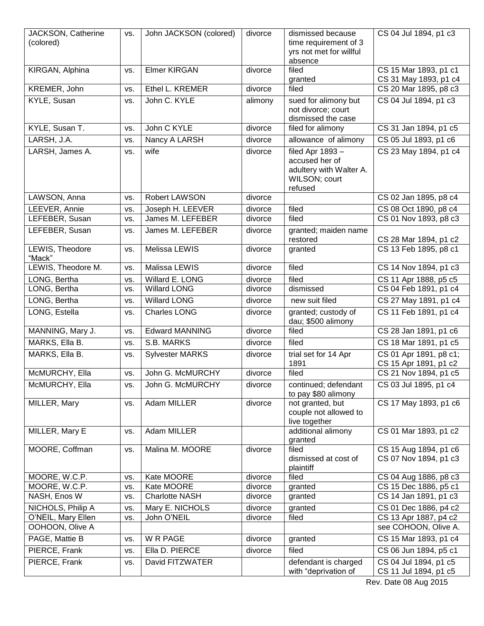| JACKSON, Catherine<br>(colored) | VS. | John JACKSON (colored) | divorce | dismissed because<br>time requirement of 3<br>yrs not met for willful<br>absence          | CS 04 Jul 1894, p1 c3                           |
|---------------------------------|-----|------------------------|---------|-------------------------------------------------------------------------------------------|-------------------------------------------------|
| KIRGAN, Alphina                 | VS. | <b>Elmer KIRGAN</b>    | divorce | filed<br>granted                                                                          | CS 15 Mar 1893, p1 c1<br>CS 31 May 1893, p1 c4  |
| KREMER, John                    | VS. | Ethel L. KREMER        | divorce | filed                                                                                     | CS 20 Mar 1895, p8 c3                           |
| KYLE, Susan                     | VS. | John C. KYLE           | alimony | sued for alimony but<br>not divorce; court<br>dismissed the case                          | CS 04 Jul 1894, p1 c3                           |
| KYLE, Susan T.                  | VS. | John C KYLE            | divorce | filed for alimony                                                                         | CS 31 Jan 1894, p1 c5                           |
| LARSH, J.A.                     | VS. | Nancy A LARSH          | divorce | allowance of alimony                                                                      | CS 05 Jul 1893, p1 c6                           |
| LARSH, James A.                 | VS. | wife                   | divorce | filed Apr 1893 -<br>accused her of<br>adultery with Walter A.<br>WILSON; court<br>refused | CS 23 May 1894, p1 c4                           |
| LAWSON, Anna                    | VS. | Robert LAWSON          | divorce |                                                                                           | CS 02 Jan 1895, p8 c4                           |
| LEEVER, Annie                   | VS. | Joseph H. LEEVER       | divorce | filed                                                                                     | CS 08 Oct 1890, p8 c4                           |
| LEFEBER, Susan                  | VS. | James M. LEFEBER       | divorce | filed                                                                                     | CS 01 Nov 1893, p8 c3                           |
| LEFEBER, Susan                  | VS. | James M. LEFEBER       | divorce | granted; maiden name<br>restored                                                          | CS 28 Mar 1894, p1 c2                           |
| LEWIS, Theodore<br>"Mack"       | VS. | Melissa LEWIS          | divorce | granted                                                                                   | CS 13 Feb 1895, p8 c1                           |
| LEWIS, Theodore M.              | VS. | Malissa LEWIS          | divorce | filed                                                                                     | CS 14 Nov 1894, p1 c3                           |
| LONG, Bertha                    | VS. | Willard E. LONG        | divorce | filed                                                                                     | CS 11 Apr 1888, p5 c5                           |
| LONG, Bertha                    | VS. | <b>Willard LONG</b>    | divorce | dismissed                                                                                 | CS 04 Feb 1891, p1 c4                           |
| LONG, Bertha                    | VS. | <b>Willard LONG</b>    | divorce | new suit filed                                                                            | CS 27 May 1891, p1 c4                           |
| LONG, Estella                   | VS. | <b>Charles LONG</b>    | divorce | granted; custody of<br>dau; \$500 alimony                                                 | CS 11 Feb 1891, p1 c4                           |
| MANNING, Mary J.                | VS. | <b>Edward MANNING</b>  | divorce | filed                                                                                     | CS 28 Jan 1891, p1 c6                           |
| MARKS, Ella B.                  | VS. | S.B. MARKS             | divorce | filed                                                                                     | CS 18 Mar 1891, p1 c5                           |
| MARKS, Ella B.                  | VS. | <b>Sylvester MARKS</b> | divorce | trial set for 14 Apr<br>1891                                                              | CS 01 Apr 1891, p8 c1;<br>CS 15 Apr 1891, p1 c2 |
| McMURCHY, Ella                  | VS. | John G. McMURCHY       | divorce | filed                                                                                     | CS 21 Nov 1894, p1 c5                           |
| McMURCHY, Ella                  | VS. | John G. McMURCHY       | divorce | continued; defendant<br>to pay \$80 alimony                                               | CS 03 Jul 1895, p1 c4                           |
| MILLER, Mary                    | VS. | Adam MILLER            | divorce | not granted, but<br>couple not allowed to<br>live together                                | CS 17 May 1893, p1 c6                           |
| MILLER, Mary E                  | VS. | Adam MILLER            |         | additional alimony<br>granted                                                             | CS 01 Mar 1893, p1 c2                           |
| MOORE, Coffman                  | VS. | Malina M. MOORE        | divorce | filed<br>dismissed at cost of<br>plaintiff                                                | CS 15 Aug 1894, p1 c6<br>CS 07 Nov 1894, p1 c3  |
| MOORE, W.C.P.                   | VS. | Kate MOORE             | divorce | filed                                                                                     | CS 04 Aug 1886, p8 c3                           |
| MOORE, W.C.P.                   | VS. | Kate MOORE             | divorce | granted                                                                                   | CS 15 Dec 1886, p5 c1                           |
| NASH, Enos W                    | VS. | <b>Charlotte NASH</b>  | divorce | granted                                                                                   | CS 14 Jan 1891, p1 c3                           |
| NICHOLS, Philip A               | VS. | Mary E. NICHOLS        | divorce | granted                                                                                   | CS 01 Dec 1886, p4 c2                           |
| O'NEIL, Mary Ellen              | VS. | John O'NEIL            | divorce | filed                                                                                     | CS 13 Apr 1887, p4 c2<br>see COHOON, Olive A.   |
| OOHOON, Olive A                 |     |                        |         |                                                                                           |                                                 |
| PAGE, Mattie B                  | VS. | W R PAGE               | divorce | granted                                                                                   | CS 15 Mar 1893, p1 c4                           |
| PIERCE, Frank                   | VS. | Ella D. PIERCE         | divorce | filed                                                                                     | CS 06 Jun 1894, p5 c1                           |
| PIERCE, Frank                   | VS. | David FITZWATER        |         | defendant is charged<br>with "deprivation of                                              | CS 04 Jul 1894, p1 c5<br>CS 11 Jul 1894, p1 c5  |

Rev. Date 08 Aug 2015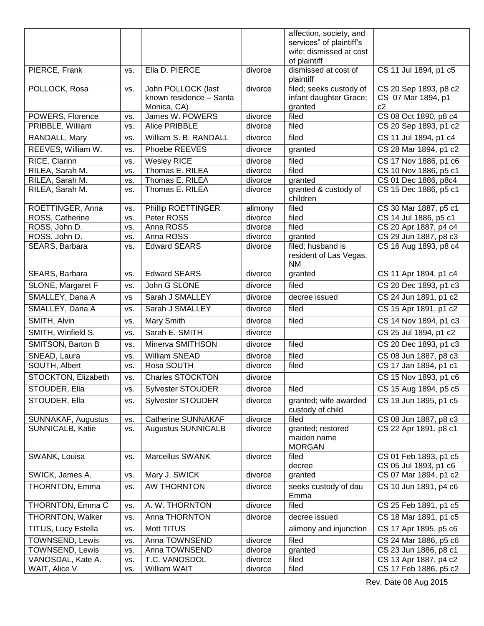|                      |           |                           |         | affection, society, and  |                       |
|----------------------|-----------|---------------------------|---------|--------------------------|-----------------------|
|                      |           |                           |         | services" of plaintiff's |                       |
|                      |           |                           |         | wife; dismissed at cost  |                       |
|                      |           |                           |         | of plaintiff             |                       |
| PIERCE, Frank        | VS.       | Ella D. PIERCE            | divorce | dismissed at cost of     | CS 11 Jul 1894, p1 c5 |
|                      |           |                           |         | plaintiff                |                       |
| POLLOCK, Rosa        | VS.       | John POLLOCK (last        | divorce | filed; seeks custody of  | CS 20 Sep 1893, p8 c2 |
|                      |           | known residence - Santa   |         | infant daughter Grace;   | CS 07 Mar 1894, p1    |
|                      |           | Monica, CA)               |         | granted                  | c2                    |
| POWERS, Florence     | VS.       | James W. POWERS           | divorce | filed                    | CS 08 Oct 1890, p8 c4 |
| PRIBBLE, William     | VS.       | Alice PRIBBLE             | divorce | filed                    | CS 20 Sep 1893, p1 c2 |
| RANDALL, Mary        | VS.       | William S. B. RANDALL     | divorce | filed                    | CS 11 Jul 1894, p1 c4 |
| REEVES, William W.   | VS.       | Phoebe REEVES             | divorce | granted                  | CS 28 Mar 1894, p1 c2 |
| RICE, Clarinn        | VS.       | <b>Wesley RICE</b>        | divorce | filed                    | CS 17 Nov 1886, p1 c6 |
| RILEA, Sarah M.      | VS.       | Thomas E. RILEA           | divorce | filed                    | CS 10 Nov 1886, p5 c1 |
| RILEA, Sarah M.      | VS.       | Thomas E. RILEA           | divorce | granted                  | CS 01 Dec 1886, p8c4  |
| RILEA, Sarah M.      | VS.       | Thomas E. RILEA           | divorce | granted & custody of     | CS 15 Dec 1886, p5 c1 |
|                      |           |                           |         | children                 |                       |
| ROETTINGER, Anna     | VS.       | Phillip ROETTINGER        | alimony | filed                    | CS 30 Mar 1887, p5 c1 |
| ROSS, Catherine      | VS.       | Peter ROSS                | divorce | filed                    | CS 14 Jul 1886, p5 c1 |
| ROSS, John D.        | VS.       | Anna ROSS                 | divorce | filed                    | CS 20 Apr 1887, p4 c4 |
| ROSS, John D.        | VS.       | Anna ROSS                 | divorce | granted                  | CS 29 Jun 1887, p8 c3 |
| SEARS, Barbara       | VS.       | <b>Edward SEARS</b>       | divorce | filed; husband is        | CS 16 Aug 1893, p8 c4 |
|                      |           |                           |         | resident of Las Vegas,   |                       |
|                      |           |                           |         | <b>NM</b>                |                       |
| SEARS, Barbara       | VS.       | Edward SEARS              | divorce | granted                  | CS 11 Apr 1894, p1 c4 |
|                      |           |                           |         |                          |                       |
| SLONE, Margaret F    | VS.       | John G SLONE              | divorce | filed                    | CS 20 Dec 1893, p1 c3 |
| SMALLEY, Dana A      | <b>VS</b> | Sarah J SMALLEY           | divorce | decree issued            | CS 24 Jun 1891, p1 c2 |
| SMALLEY, Dana A      | VS.       | Sarah J SMALLEY           | divorce | filed                    | CS 15 Apr 1891, p1 c2 |
| SMITH, Alvin         | VS.       | Mary Smith                | divorce | filed                    | CS 14 Nov 1894, p1 c3 |
| SMITH, Winfield S.   | VS.       | Sarah E. SMITH            | divorce |                          | CS 25 Jul 1894, p1 c2 |
| SMITSON, Barton B    | VS.       | Minerva SMITHSON          | divorce | filed                    | CS 20 Dec 1893, p1 c3 |
| SNEAD, Laura         | VS.       | William SNEAD             | divorce | filed                    | CS 08 Jun 1887, p8 c3 |
| SOUTH, Albert        | VS.       | Rosa SOUTH                | divorce | filed                    | CS 17 Jan 1894, p1 c1 |
| STOCKTON, Elizabeth  | VS.       | <b>Charles STOCKTON</b>   | divorce |                          | CS 15 Nov 1893, p1 c6 |
| STOUDER, Ella        | VS.       | Sylvester STOUDER         | divorce | filed                    | CS 15 Aug 1894, p5 c5 |
| <b>STOUDER, Ella</b> | VS.       | <b>Sylvester STOUDER</b>  | divorce | granted; wife awarded    | CS 19 Jun 1895, p1 c5 |
|                      |           |                           |         | custody of child         |                       |
| SUNNAKAF, Augustus   | VS.       | <b>Catherine SUNNAKAF</b> | divorce | filed                    | CS 08 Jun 1887, p8 c3 |
| SUNNICALB, Katie     | VS.       | <b>Augustus SUNNICALB</b> | divorce | granted; restored        | CS 22 Apr 1891, p8 c1 |
|                      |           |                           |         | maiden name              |                       |
|                      |           |                           |         | <b>MORGAN</b>            |                       |
| SWANK, Louisa        | VS.       | Marcellus SWANK           | divorce | filed                    | CS 01 Feb 1893, p1 c5 |
|                      |           |                           |         | decree                   | CS 05 Jul 1893, p1 c6 |
| SWICK, James A.      | VS.       | Mary J. SWICK             | divorce | granted                  | CS 07 Mar 1894, p1 c2 |
| THORNTON, Emma       | VS.       | <b>AW THORNTON</b>        | divorce | seeks custody of dau     | CS 10 Jun 1891, p4 c6 |
|                      |           |                           |         | Emma                     |                       |
| THORNTON, Emma C     | VS.       | A. W. THORNTON            | divorce | filed                    | CS 25 Feb 1891, p1 c5 |
| THORNTON, Walker     | VS.       | Anna THORNTON             | divorce | decree issued            | CS 18 Mar 1891, p1 c5 |
| TITUS, Lucy Estella  | VS.       | Mott TITUS                |         | alimony and injunction   | CS 17 Apr 1895, p5 c6 |
| TOWNSEND, Lewis      | VS.       | Anna TOWNSEND             | divorce | filed                    | CS 24 Mar 1886, p5 c6 |
| TOWNSEND, Lewis      | VS.       | Anna TOWNSEND             | divorce | granted                  | CS 23 Jun 1886, p8 c1 |
| VANOSDAL, Kate A.    | VS.       | T.C. VANOSDOL             | divorce | filed                    | CS 13 Apr 1887, p4 c2 |
| WAIT, Alice V.       | VS.       | William WAIT              | divorce | filed                    | CS 17 Feb 1886, p5 c2 |
|                      |           |                           |         |                          |                       |

Rev. Date 08 Aug 2015